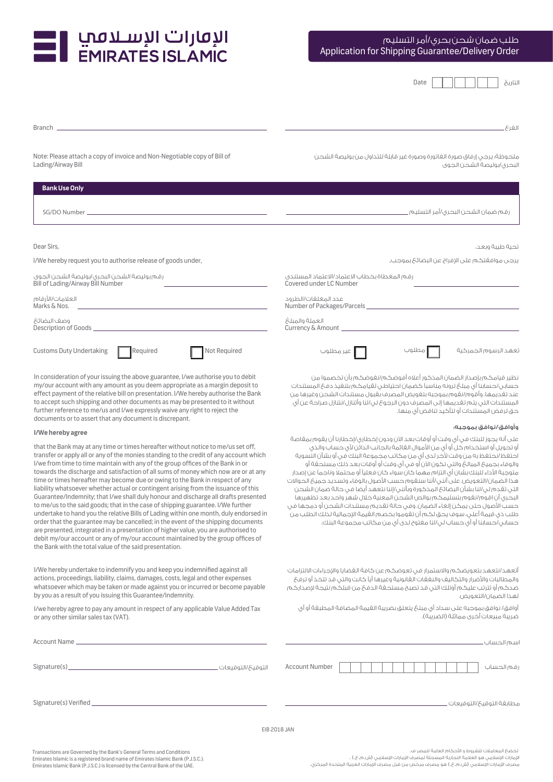

| the contract of the contract of |
|---------------------------------|
|---------------------------------|

| <b>Branch</b>                                                                                                                                                                                                                                                                                                                                                                                                                                                                                                                                                                                                                                                                                                                                                                                                                                                                                                                                                                                                                                                                                                               | الغرع                                                                                                                                                                                                                                                                                                                                                                                                                                                                                                                                                                                                                                                                                                                                                                                                                                                                                                                     |  |  |  |
|-----------------------------------------------------------------------------------------------------------------------------------------------------------------------------------------------------------------------------------------------------------------------------------------------------------------------------------------------------------------------------------------------------------------------------------------------------------------------------------------------------------------------------------------------------------------------------------------------------------------------------------------------------------------------------------------------------------------------------------------------------------------------------------------------------------------------------------------------------------------------------------------------------------------------------------------------------------------------------------------------------------------------------------------------------------------------------------------------------------------------------|---------------------------------------------------------------------------------------------------------------------------------------------------------------------------------------------------------------------------------------------------------------------------------------------------------------------------------------------------------------------------------------------------------------------------------------------------------------------------------------------------------------------------------------------------------------------------------------------------------------------------------------------------------------------------------------------------------------------------------------------------------------------------------------------------------------------------------------------------------------------------------------------------------------------------|--|--|--|
| Note: Please attach a copy of invoice and Non-Negotiable copy of Bill of<br>Lading/Airway Bill                                                                                                                                                                                                                                                                                                                                                                                                                                                                                                                                                                                                                                                                                                                                                                                                                                                                                                                                                                                                                              | ملحوظة؛ يرجى إرفاق صورة الغاتورة وصورة غير قابلة للتداول من بوليصة الشحن<br>البحرى/بوليصة الشحن الجوى                                                                                                                                                                                                                                                                                                                                                                                                                                                                                                                                                                                                                                                                                                                                                                                                                     |  |  |  |
| <b>Bank Use Only</b>                                                                                                                                                                                                                                                                                                                                                                                                                                                                                                                                                                                                                                                                                                                                                                                                                                                                                                                                                                                                                                                                                                        |                                                                                                                                                                                                                                                                                                                                                                                                                                                                                                                                                                                                                                                                                                                                                                                                                                                                                                                           |  |  |  |
| SG/DO Number_                                                                                                                                                                                                                                                                                                                                                                                                                                                                                                                                                                                                                                                                                                                                                                                                                                                                                                                                                                                                                                                                                                               |                                                                                                                                                                                                                                                                                                                                                                                                                                                                                                                                                                                                                                                                                                                                                                                                                                                                                                                           |  |  |  |
| Dear Sirs,<br>I/We hereby request you to authorise release of goods under,                                                                                                                                                                                                                                                                                                                                                                                                                                                                                                                                                                                                                                                                                                                                                                                                                                                                                                                                                                                                                                                  | تحية طيبة وبعد،<br>يرجى موافقتكم على الإفراج عن البضائح بموجب,                                                                                                                                                                                                                                                                                                                                                                                                                                                                                                                                                                                                                                                                                                                                                                                                                                                            |  |  |  |
| رقم بوليصة الشحن البحرى/بوليصة الشحن الجوى<br>Bill of Lading/Airway Bill Number                                                                                                                                                                                                                                                                                                                                                                                                                                                                                                                                                                                                                                                                                                                                                                                                                                                                                                                                                                                                                                             | رقم المغطاة بخطاب الاعتماد/الاعتماد المستندى<br>Covered under LC Number                                                                                                                                                                                                                                                                                                                                                                                                                                                                                                                                                                                                                                                                                                                                                                                                                                                   |  |  |  |
| العلامات/الأرقام<br>Marks & Nos.                                                                                                                                                                                                                                                                                                                                                                                                                                                                                                                                                                                                                                                                                                                                                                                                                                                                                                                                                                                                                                                                                            | عدد المغلغات/الطرود<br>Number of Packages/Parcels_                                                                                                                                                                                                                                                                                                                                                                                                                                                                                                                                                                                                                                                                                                                                                                                                                                                                        |  |  |  |
| وصف البضائع<br>Description of Goods_                                                                                                                                                                                                                                                                                                                                                                                                                                                                                                                                                                                                                                                                                                                                                                                                                                                                                                                                                                                                                                                                                        | العملة والمنلغ<br>Currency & Amount                                                                                                                                                                                                                                                                                                                                                                                                                                                                                                                                                                                                                                                                                                                                                                                                                                                                                       |  |  |  |
| <b>Customs Duty Undertaking</b><br>Required<br>Not Required                                                                                                                                                                                                                                                                                                                                                                                                                                                                                                                                                                                                                                                                                                                                                                                                                                                                                                                                                                                                                                                                 | غير مطلوب<br>مطلوب<br>تعهد الرسوم الجمركية                                                                                                                                                                                                                                                                                                                                                                                                                                                                                                                                                                                                                                                                                                                                                                                                                                                                                |  |  |  |
| In consideration of your issuing the above guarantee, I/we authorise you to debit<br>my/our account with any amount as you deem appropriate as a margin deposit to<br>effect payment of the relative bill on presentation. I/We hereby authorise the Bank<br>to accept such shipping and other documents as may be presented to it without<br>further reference to me/us and I/we expressly waive any right to reject the<br>documents or to assert that any document is discrepant.                                                                                                                                                                                                                                                                                                                                                                                                                                                                                                                                                                                                                                        | نظير قيامكم بإصدار الضمان المذكور أعلاه أفوضكم/نغوضكم بأن تخصموا من<br>حسابى/حسابنا أى مبلغ ترونه مناسباً كضمان احتياطى لقيامكم بتنفيذ دفع المستندات<br>عند تقديمها. وأقوم/نقوم بموجبه بتغويض المصرف بقبول مستندات الشحن وغيرها من<br>المستندات التى يتم تقديمها إلى المصرف دون الرجوع لى/لنا وأتنازل/نتنازل صراحة عن أى<br>حق لرفض المستندات أو لتأكيد تناقض أى منها.                                                                                                                                                                                                                                                                                                                                                                                                                                                                                                                                                    |  |  |  |
| I/We hereby agree                                                                                                                                                                                                                                                                                                                                                                                                                                                                                                                                                                                                                                                                                                                                                                                                                                                                                                                                                                                                                                                                                                           | وأوافق/نوافق بموجبه:                                                                                                                                                                                                                                                                                                                                                                                                                                                                                                                                                                                                                                                                                                                                                                                                                                                                                                      |  |  |  |
| that the Bank may at any time or times hereafter without notice to me/us set off,<br>transfer or apply all or any of the monies standing to the credit of any account which<br>I/we from time to time maintain with any of the group offices of the Bank in or<br>towards the discharge and satisfaction of all sums of money which now are or at any<br>time or times hereafter may become due or owing to the Bank in respect of any<br>liability whatsoever whether actual or contingent arising from the issuance of this<br>Guarantee/Indemnity; that I/we shall duly honour and discharge all drafts presented<br>to me/us to the said goods; that in the case of shipping guarantee. I/We further<br>undertake to hand you the relative Bills of Lading within one month, duly endorsed in<br>order that the guarantee may be cancelled; in the event of the shipping documents<br>are presented, integrated in a presentation of higher value, you are authorised to<br>debit my/our account or any of my/our account maintained by the group offices of<br>the Bank with the total value of the said presentation. | على آنه يجوز للبنك في أي وقت أو أوقات بعد الآن ودون إخطاري/إخطارنا آن يقوم بمقاصة<br>أو تحويل أو استخدام كل أو أى من الأموال العَائمة بالجانب الدائن لأى حساب والذى<br>احتفظ/نحتفظ به من وقت لأخر لدى أي من مكاتب مجموعة البنك فى أو بشأن التسوية<br>والوفاء بجميعَ المبالغَ والتي تكون الآن أو في أي وقت أو أوقات بعد ذلك مستحقة أو<br>متوجبة الأداء للبنك بشان أى التزام مهما كان سواء كان فعلياً أو محتملاً وناجماً عن إصدار<br>هذا الضمان/التعويض. على أننى/أننا سنقوم حسب الأصول بالوفاء وتسديد جميعَ الحوالات<br>التى تقدم لى/لنا بشأن البضائحَ المذكورة وبأننى/إننا نتعهد أيضا فى حالة ضمان الشحن<br>البحرى آن اقوم/نقوم بتسليمكم بوالص الشحن المعنية خلال شهر واحد بعد تظهيرها<br>حسب الأصول حتى يمكن إلغاء الضمان. وفي حالة تقديم مستندات الشحن أو دمجها في<br>طلب ذى قيمة أعلى، سوف يحق لكم أن تقوموا بخصم القيمة الإجمالية لذلك الطلب من<br>حسابى/حسابنا أو أى حساب لى/لنا مفتوح لدى أى من مكاتب مجموعة البنك. |  |  |  |
| I/We hereby undertake to indemnify you and keep you indemnified against all<br>actions, proceedings, liability, claims, damages, costs, legal and other expenses<br>whatsoever which may be taken or made against you or incurred or become payable<br>by you as a result of you issuing this Guarantee/Indemnity.                                                                                                                                                                                                                                                                                                                                                                                                                                                                                                                                                                                                                                                                                                                                                                                                          | أتعهد/نتعهد بتعويضكم والاستمرار فى تعوضكم عن كافة القضايا والإجراءات الالتزامات<br>والمطالبات والأضرار والتكاليف والنغقات القانونية وغيرها أيآ كانت والتى قد تتخذ أو ترفع<br>ضدكم أو تترتب عليكم أوتلك التى قد تصبح مستحقة الدفعَ من قبلكم نتيجة لإصداركم<br>لهذا الضمان/التعويض.                                                                                                                                                                                                                                                                                                                                                                                                                                                                                                                                                                                                                                         |  |  |  |
| I/we hereby agree to pay any amount in respect of any applicable Value Added Tax<br>or any other similar sales tax (VAT).                                                                                                                                                                                                                                                                                                                                                                                                                                                                                                                                                                                                                                                                                                                                                                                                                                                                                                                                                                                                   | أوافق/ نوافق بموجبه على سداد أى مبلغ يتعلق بضريبة القيمة المضافة المطبقة أو أى<br>ضربية مبيعات أخرى مماثلة (الضربية).                                                                                                                                                                                                                                                                                                                                                                                                                                                                                                                                                                                                                                                                                                                                                                                                     |  |  |  |
|                                                                                                                                                                                                                                                                                                                                                                                                                                                                                                                                                                                                                                                                                                                                                                                                                                                                                                                                                                                                                                                                                                                             | سم الحساب_                                                                                                                                                                                                                                                                                                                                                                                                                                                                                                                                                                                                                                                                                                                                                                                                                                                                                                                |  |  |  |
|                                                                                                                                                                                                                                                                                                                                                                                                                                                                                                                                                                                                                                                                                                                                                                                                                                                                                                                                                                                                                                                                                                                             | <b>Account Number</b><br>رقم الحساب                                                                                                                                                                                                                                                                                                                                                                                                                                                                                                                                                                                                                                                                                                                                                                                                                                                                                       |  |  |  |
| Signature(s) Verified Signature Control of the Signature Control of the Signature Control of the Signature Control of the Signature Control of the Signature Control of the Signature Control of the Signature Control of the                                                                                                                                                                                                                                                                                                                                                                                                                                                                                                                                                                                                                                                                                                                                                                                                                                                                                               | عطابقة التوقيع /التوقيعات                                                                                                                                                                                                                                                                                                                                                                                                                                                                                                                                                                                                                                                                                                                                                                                                                                                                                                 |  |  |  |
|                                                                                                                                                                                                                                                                                                                                                                                                                                                                                                                                                                                                                                                                                                                                                                                                                                                                                                                                                                                                                                                                                                                             | <b>EIB 2018 JAN</b>                                                                                                                                                                                                                                                                                                                                                                                                                                                                                                                                                                                                                                                                                                                                                                                                                                                                                                       |  |  |  |